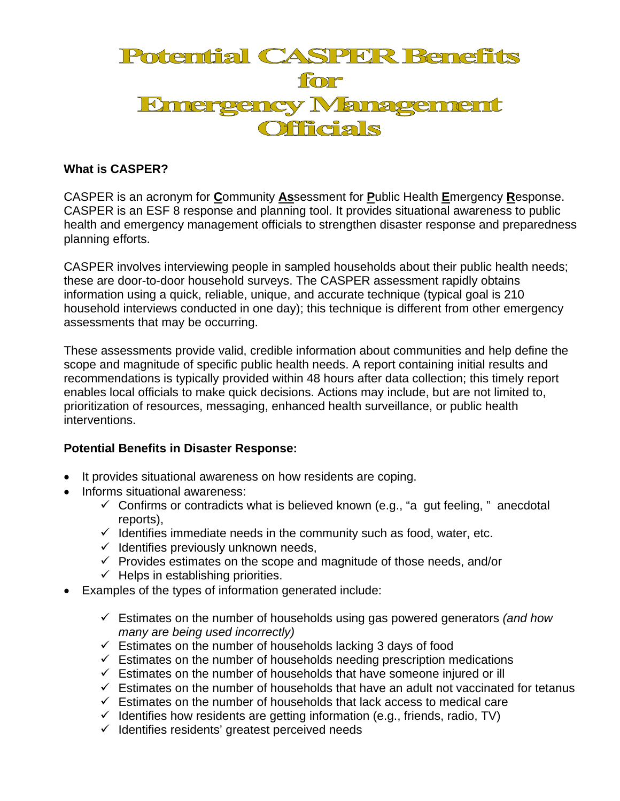

## **What is CASPER?**

CASPER is an acronym for **C**ommunity **As**sessment for **P**ublic Health **E**mergency **R**esponse. CASPER is an ESF 8 response and planning tool. It provides situational awareness to public health and emergency management officials to strengthen disaster response and preparedness planning efforts.

CASPER involves interviewing people in sampled households about their public health needs; these are door-to-door household surveys. The CASPER assessment rapidly obtains information using a quick, reliable, unique, and accurate technique (typical goal is 210 household interviews conducted in one day); this technique is different from other emergency assessments that may be occurring.

These assessments provide valid, credible information about communities and help define the scope and magnitude of specific public health needs. A report containing initial results and recommendations is typically provided within 48 hours after data collection; this timely report enables local officials to make quick decisions. Actions may include, but are not limited to, prioritization of resources, messaging, enhanced health surveillance, or public health interventions.

## **Potential Benefits in Disaster Response:**

- It provides situational awareness on how residents are coping.
- Informs situational awareness:
	- $\checkmark$  Confirms or contradicts what is believed known (e.g., "a gut feeling, " anecdotal reports),
	- $\checkmark$  Identifies immediate needs in the community such as food, water, etc.
	- $\checkmark$  Identifies previously unknown needs,
	- $\checkmark$  Provides estimates on the scope and magnitude of those needs, and/or
	- $\checkmark$  Helps in establishing priorities.
- Examples of the types of information generated include:
	- Estimates on the number of households using gas powered generators *(and how many are being used incorrectly)*
	- $\checkmark$  Estimates on the number of households lacking 3 days of food
	- $\checkmark$  Estimates on the number of households needing prescription medications
	- $\checkmark$  Estimates on the number of households that have someone injured or ill
	- $\checkmark$  Estimates on the number of households that have an adult not vaccinated for tetanus
	- $\checkmark$  Estimates on the number of households that lack access to medical care
	- $\checkmark$  Identifies how residents are getting information (e.g., friends, radio, TV)
	- $\checkmark$  Identifies residents' greatest perceived needs